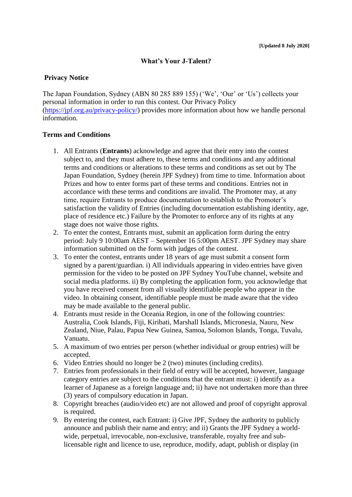## **What's Your J-Talent?**

## **Privacy Notice**

The Japan Foundation, Sydney (ABN 80 285 889 155) ('We', 'Our' or 'Us') collects your personal information in order to run this contest. Our Privacy Policy [\(https://jpf.org.au/privacy-policy/\)](https://jpf.org.au/privacy-policy/) provides more information about how we handle personal information.

## **Terms and Conditions**

- 1. All Entrants (**Entrants**) acknowledge and agree that their entry into the contest subject to, and they must adhere to, these terms and conditions and any additional terms and conditions or alterations to these terms and conditions as set out by The Japan Foundation, Sydney (herein JPF Sydney) from time to time. Information about Prizes and how to enter forms part of these terms and conditions. Entries not in accordance with these terms and conditions are invalid. The Promoter may, at any time, require Entrants to produce documentation to establish to the Promoter's satisfaction the validity of Entries (including documentation establishing identity, age, place of residence etc.) Failure by the Promoter to enforce any of its rights at any stage does not waive those rights.
- 2. To enter the contest, Entrants must, submit an application form during the entry period: July 9 10:00am AEST – September 16 5:00pm AEST. JPF Sydney may share information submitted on the form with judges of the contest.
- 3. To enter the contest, entrants under 18 years of age must submit a consent form signed by a parent/guardian. i) All individuals appearing in video entries have given permission for the video to be posted on JPF Sydney YouTube channel, website and social media platforms. ii) By completing the application form, you acknowledge that you have received consent from all visually identifiable people who appear in the video. In obtaining consent, identifiable people must be made aware that the video may be made available to the general public.
- 4. Entrants must reside in the Oceania Region, in one of the following countries: Australia, Cook Islands, Fiji, Kiribati, Marshall Islands, Micronesia, Nauru, New Zealand, Niue, Palau, Papua New Guinea, Samoa, Solomon Islands, Tonga, Tuvalu, Vanuatu.
- 5. A maximum of two entries per person (whether individual or group entries) will be accepted.
- 6. Video Entries should no longer be 2 (two) minutes (including credits).
- 7. Entries from professionals in their field of entry will be accepted, however, language category entries are subject to the conditions that the entrant must: i) identify as a learner of Japanese as a foreign language and; ii) have not undertaken more than three (3) years of compulsory education in Japan.
- 8. Copyright breaches (audio/video etc) are not allowed and proof of copyright approval is required.
- 9. By entering the contest, each Entrant: i) Give JPF, Sydney the authority to publicly announce and publish their name and entry; and ii) Grants the JPF Sydney a worldwide, perpetual, irrevocable, non-exclusive, transferable, royalty free and sublicensable right and licence to use, reproduce, modify, adapt, publish or display (in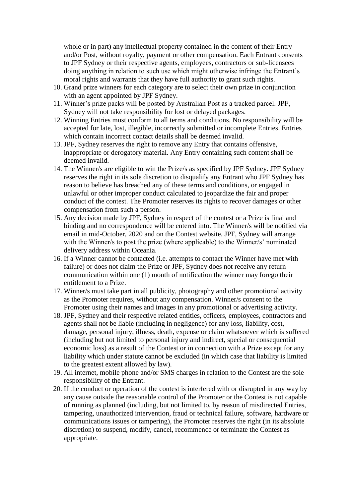whole or in part) any intellectual property contained in the content of their Entry and/or Post, without royalty, payment or other compensation. Each Entrant consents to JPF Sydney or their respective agents, employees, contractors or sub-licensees doing anything in relation to such use which might otherwise infringe the Entrant's moral rights and warrants that they have full authority to grant such rights.

- 10. Grand prize winners for each category are to select their own prize in conjunction with an agent appointed by JPF Sydney.
- 11. Winner's prize packs will be posted by Australian Post as a tracked parcel. JPF, Sydney will not take responsibility for lost or delayed packages.
- 12. Winning Entries must conform to all terms and conditions. No responsibility will be accepted for late, lost, illegible, incorrectly submitted or incomplete Entries. Entries which contain incorrect contact details shall be deemed invalid.
- 13. JPF, Sydney reserves the right to remove any Entry that contains offensive, inappropriate or derogatory material. Any Entry containing such content shall be deemed invalid.
- 14. The Winner/s are eligible to win the Prize/s as specified by JPF Sydney. JPF Sydney reserves the right in its sole discretion to disqualify any Entrant who JPF Sydney has reason to believe has breached any of these terms and conditions, or engaged in unlawful or other improper conduct calculated to jeopardize the fair and proper conduct of the contest. The Promoter reserves its rights to recover damages or other compensation from such a person.
- 15. Any decision made by JPF, Sydney in respect of the contest or a Prize is final and binding and no correspondence will be entered into. The Winner/s will be notified via email in mid-October, 2020 and on the Contest website. JPF, Sydney will arrange with the Winner/s to post the prize (where applicable) to the Winner/s' nominated delivery address within Oceania.
- 16. If a Winner cannot be contacted (i.e. attempts to contact the Winner have met with failure) or does not claim the Prize or JPF, Sydney does not receive any return communication within one (1) month of notification the winner may forego their entitlement to a Prize.
- 17. Winner/s must take part in all publicity, photography and other promotional activity as the Promoter requires, without any compensation. Winner/s consent to the Promoter using their names and images in any promotional or advertising activity.
- 18. JPF, Sydney and their respective related entities, officers, employees, contractors and agents shall not be liable (including in negligence) for any loss, liability, cost, damage, personal injury, illness, death, expense or claim whatsoever which is suffered (including but not limited to personal injury and indirect, special or consequential economic loss) as a result of the Contest or in connection with a Prize except for any liability which under statute cannot be excluded (in which case that liability is limited to the greatest extent allowed by law).
- 19. All internet, mobile phone and/or SMS charges in relation to the Contest are the sole responsibility of the Entrant.
- 20. If the conduct or operation of the contest is interfered with or disrupted in any way by any cause outside the reasonable control of the Promoter or the Contest is not capable of running as planned (including, but not limited to, by reason of misdirected Entries, tampering, unauthorized intervention, fraud or technical failure, software, hardware or communications issues or tampering), the Promoter reserves the right (in its absolute discretion) to suspend, modify, cancel, recommence or terminate the Contest as appropriate.